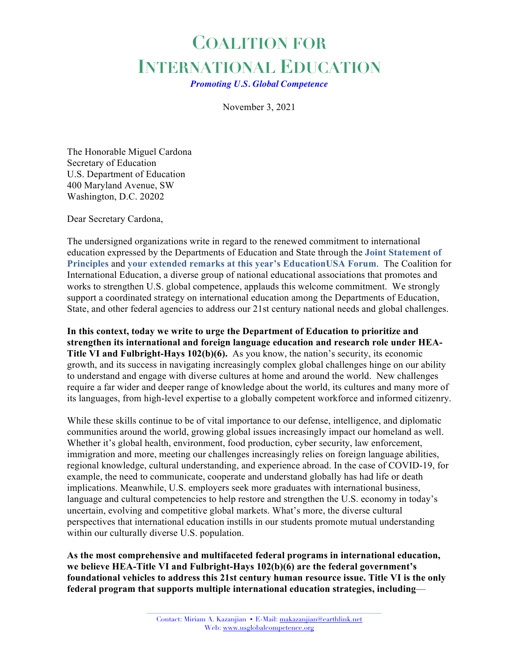## **COALITION FOR INTERNATIONAL EDUCATION**

*Promoting U.S. Global Competence*

November 3, 2021

The Honorable Miguel Cardona Secretary of Education U.S. Department of Education 400 Maryland Avenue, SW Washington, D.C. 20202

Dear Secretary Cardona,

The undersigned organizations write in regard to the renewed commitment to international education expressed by the Departments of Education and State through the **Joint Statement of Principles** and **your extended remarks at this year's EducationUSA Forum**. The Coalition for International Education, a diverse group of national educational associations that promotes and works to strengthen U.S. global competence, applauds this welcome commitment. We strongly support a coordinated strategy on international education among the Departments of Education, State, and other federal agencies to address our 21st century national needs and global challenges.

**In this context, today we write to urge the Department of Education to prioritize and strengthen its international and foreign language education and research role under HEA-Title VI and Fulbright-Hays 102(b)(6).** As you know, the nation's security, its economic growth, and its success in navigating increasingly complex global challenges hinge on our ability to understand and engage with diverse cultures at home and around the world. New challenges require a far wider and deeper range of knowledge about the world, its cultures and many more of its languages, from high-level expertise to a globally competent workforce and informed citizenry.

While these skills continue to be of vital importance to our defense, intelligence, and diplomatic communities around the world, growing global issues increasingly impact our homeland as well. Whether it's global health, environment, food production, cyber security, law enforcement, immigration and more, meeting our challenges increasingly relies on foreign language abilities, regional knowledge, cultural understanding, and experience abroad. In the case of COVID-19, for example, the need to communicate, cooperate and understand globally has had life or death implications. Meanwhile, U.S. employers seek more graduates with international business, language and cultural competencies to help restore and strengthen the U.S. economy in today's uncertain, evolving and competitive global markets. What's more, the diverse cultural perspectives that international education instills in our students promote mutual understanding within our culturally diverse U.S. population.

**As the most comprehensive and multifaceted federal programs in international education, we believe HEA-Title VI and Fulbright-Hays 102(b)(6) are the federal government's foundational vehicles to address this 21st century human resource issue. Title VI is the only federal program that supports multiple international education strategies, including**—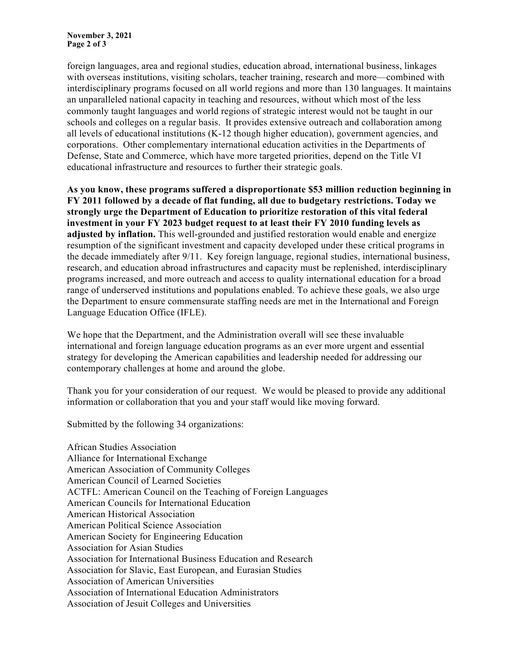foreign languages, area and regional studies, education abroad, international business, linkages with overseas institutions, visiting scholars, teacher training, research and more—combined with interdisciplinary programs focused on all world regions and more than 130 languages. It maintains an unparalleled national capacity in teaching and resources, without which most of the less commonly taught languages and world regions of strategic interest would not be taught in our schools and colleges on a regular basis. It provides extensive outreach and collaboration among all levels of educational institutions (K-12 though higher education), government agencies, and corporations. Other complementary international education activities in the Departments of Defense, State and Commerce, which have more targeted priorities, depend on the Title VI educational infrastructure and resources to further their strategic goals.

**As you know, these programs suffered a disproportionate \$53 million reduction beginning in FY 2011 followed by a decade of flat funding, all due to budgetary restrictions. Today we strongly urge the Department of Education to prioritize restoration of this vital federal investment in your FY 2023 budget request to at least their FY 2010 funding levels as adjusted by inflation.** This well-grounded and justified restoration would enable and energize resumption of the significant investment and capacity developed under these critical programs in the decade immediately after 9/11. Key foreign language, regional studies, international business, research, and education abroad infrastructures and capacity must be replenished, interdisciplinary programs increased, and more outreach and access to quality international education for a broad range of underserved institutions and populations enabled. To achieve these goals, we also urge the Department to ensure commensurate staffing needs are met in the International and Foreign Language Education Office (IFLE).

We hope that the Department, and the Administration overall will see these invaluable international and foreign language education programs as an ever more urgent and essential strategy for developing the American capabilities and leadership needed for addressing our contemporary challenges at home and around the globe.

Thank you for your consideration of our request. We would be pleased to provide any additional information or collaboration that you and your staff would like moving forward.

Submitted by the following 34 organizations:

African Studies Association Alliance for International Exchange American Association of Community Colleges American Council of Learned Societies ACTFL: American Council on the Teaching of Foreign Languages American Councils for International Education American Historical Association American Political Science Association American Society for Engineering Education Association for Asian Studies Association for International Business Education and Research Association for Slavic, East European, and Eurasian Studies Association of American Universities Association of International Education Administrators Association of Jesuit Colleges and Universities